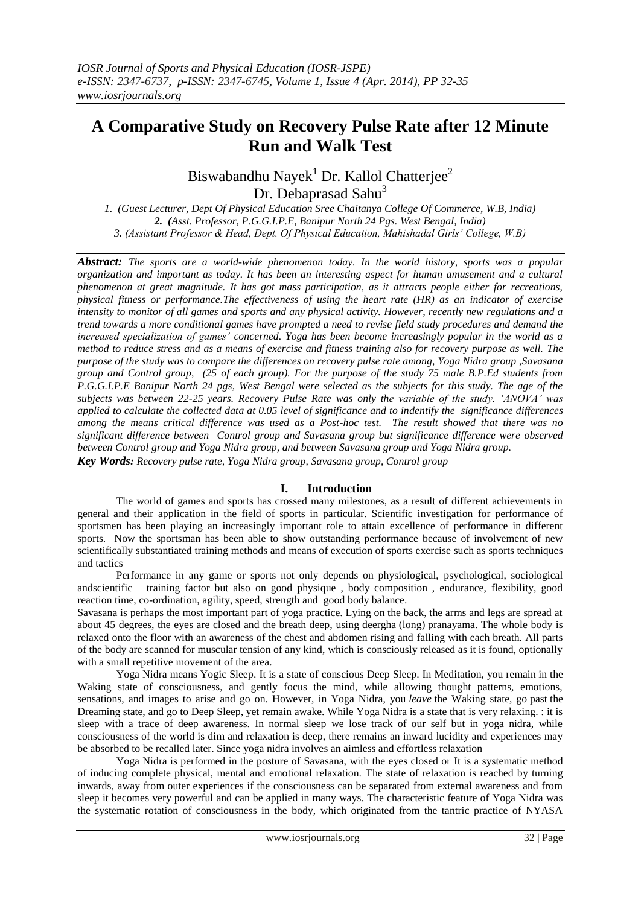# **A Comparative Study on Recovery Pulse Rate after 12 Minute Run and Walk Test**

Biswabandhu Nayek<sup>1</sup> Dr. Kallol Chatterjee<sup>2</sup> Dr. Debaprasad Sahu<sup>3</sup>

*1. (Guest Lecturer, Dept Of Physical Education Sree Chaitanya College Of Commerce, W.B, India) 2. (Asst. Professor, P.G.G.I.P.E, Banipur North 24 Pgs. West Bengal, India) 3. (Assistant Professor & Head, Dept. Of Physical Education, Mahishadal Girls' College, W.B)*

*Abstract: The sports are a world-wide phenomenon today. In the world history, sports was a popular organization and important as today. It has been an interesting aspect for human amusement and a cultural phenomenon at great magnitude. It has got mass participation, as it attracts people either for recreations, physical fitness or performance.The effectiveness of using the heart rate (HR) as an indicator of exercise intensity to monitor of all games and sports and any physical activity. However, recently new regulations and a trend towards a more conditional games have prompted a need to revise field study procedures and demand the increased specialization of games' concerned. Yoga has been become increasingly popular in the world as a method to reduce stress and as a means of exercise and fitness training also for recovery purpose as well. The purpose of the study was to compare the differences on recovery pulse rate among, Yoga Nidra group ,Savasana group and Control group, (25 of each group). For the purpose of the study 75 male B.P.Ed students from P.G.G.I.P.E Banipur North 24 pgs, West Bengal were selected as the subjects for this study. The age of the subjects was between 22-25 years. Recovery Pulse Rate was only the variable of the study. 'ANOVA' was applied to calculate the collected data at 0.05 level of significance and to indentify the significance differences among the means critical difference was used as a Post-hoc test. The result showed that there was no significant difference between Control group and Savasana group but significance difference were observed between Control group and Yoga Nidra group, and between Savasana group and Yoga Nidra group.*

*Key Words: Recovery pulse rate, Yoga Nidra group, Savasana group, Control group*

# **I. Introduction**

The world of games and sports has crossed many milestones, as a result of different achievements in general and their application in the field of sports in particular. Scientific investigation for performance of sportsmen has been playing an increasingly important role to attain excellence of performance in different sports. Now the sportsman has been able to show outstanding performance because of involvement of new scientifically substantiated training methods and means of execution of sports exercise such as sports techniques and tactics

Performance in any game or sports not only depends on physiological, psychological, sociological andscientific training factor but also on good physique , body composition , endurance, flexibility, good reaction time, co-ordination, agility, speed, strength and good body balance.

Savasana is perhaps the most important part of yoga practice. Lying on the back, the arms and legs are spread at about 45 degrees, the eyes are closed and the breath deep, using deergha (long) [pranayama.](http://en.wikipedia.org/wiki/Pranayama) The whole body is relaxed onto the floor with an awareness of the chest and abdomen rising and falling with each breath. All parts of the body are scanned for muscular tension of any kind, which is consciously released as it is found, optionally with a small repetitive movement of the area.

Yoga Nidra means Yogic Sleep. It is a state of conscious Deep Sleep. In Meditation, you remain in the Waking state of consciousness, and gently focus the mind, while allowing thought patterns, emotions, sensations, and images to arise and go on. However, in Yoga Nidra, you *leave* the Waking state, go past the Dreaming state, and go to Deep Sleep, yet remain awake. While Yoga Nidra is a state that is very relaxing. : it is sleep with a trace of deep awareness. In normal sleep we lose track of our self but in yoga nidra, while consciousness of the world is dim and relaxation is deep, there remains an inward lucidity and experiences may be absorbed to be recalled later. Since yoga nidra involves an aimless and effortless relaxation

Yoga Nidra is performed in the posture of Savasana, with the eyes closed or It is a systematic method of inducing complete physical, mental and emotional relaxation. The state of relaxation is reached by turning inwards, away from outer experiences if the consciousness can be separated from external awareness and from sleep it becomes very powerful and can be applied in many ways. The characteristic feature of Yoga Nidra was the systematic rotation of consciousness in the body, which originated from the tantric practice of NYASA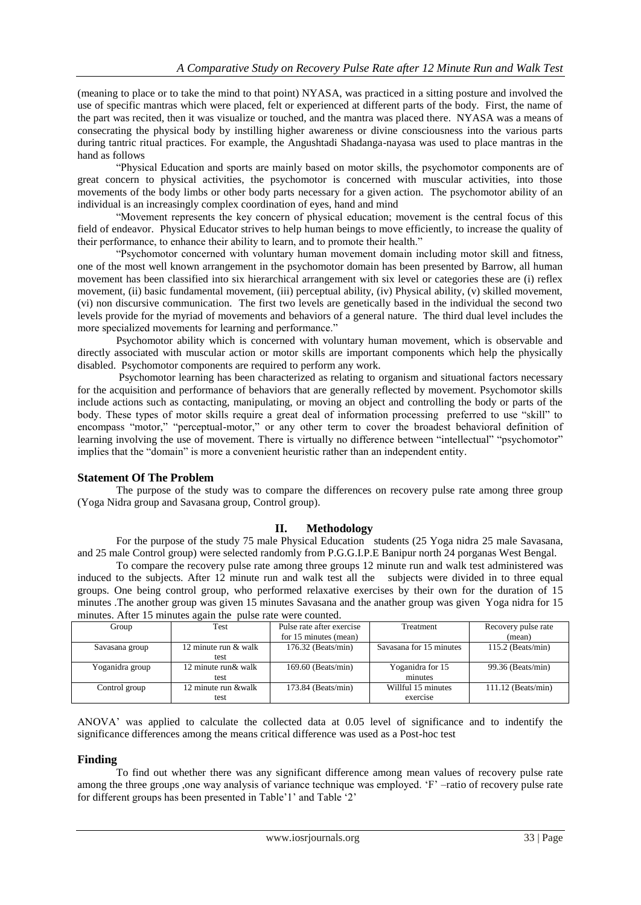(meaning to place or to take the mind to that point) NYASA, was practiced in a sitting posture and involved the use of specific mantras which were placed, felt or experienced at different parts of the body. First, the name of the part was recited, then it was visualize or touched, and the mantra was placed there. NYASA was a means of consecrating the physical body by instilling higher awareness or divine consciousness into the various parts during tantric ritual practices. For example, the Angushtadi Shadanga-nayasa was used to place mantras in the hand as follows

"Physical Education and sports are mainly based on motor skills, the psychomotor components are of great concern to physical activities, the psychomotor is concerned with muscular activities, into those movements of the body limbs or other body parts necessary for a given action. The psychomotor ability of an individual is an increasingly complex coordination of eyes, hand and mind

"Movement represents the key concern of physical education; movement is the central focus of this field of endeavor. Physical Educator strives to help human beings to move efficiently, to increase the quality of their performance, to enhance their ability to learn, and to promote their health."

"Psychomotor concerned with voluntary human movement domain including motor skill and fitness, one of the most well known arrangement in the psychomotor domain has been presented by Barrow, all human movement has been classified into six hierarchical arrangement with six level or categories these are (i) reflex movement, (ii) basic fundamental movement, (iii) perceptual ability, (iv) Physical ability, (v) skilled movement, (vi) non discursive communication. The first two levels are genetically based in the individual the second two levels provide for the myriad of movements and behaviors of a general nature. The third dual level includes the more specialized movements for learning and performance."

Psychomotor ability which is concerned with voluntary human movement, which is observable and directly associated with muscular action or motor skills are important components which help the physically disabled. Psychomotor components are required to perform any work.

Psychomotor learning has been characterized as relating to organism and situational factors necessary for the acquisition and performance of behaviors that are generally reflected by movement. Psychomotor skills include actions such as contacting, manipulating, or moving an object and controlling the body or parts of the body. These types of motor skills require a great deal of information processing preferred to use "skill" to encompass "motor," "perceptual-motor," or any other term to cover the broadest behavioral definition of learning involving the use of movement. There is virtually no difference between "intellectual" "psychomotor" implies that the "domain" is more a convenient heuristic rather than an independent entity.

# **Statement Of The Problem**

The purpose of the study was to compare the differences on recovery pulse rate among three group (Yoga Nidra group and Savasana group, Control group).

# **II. Methodology**

For the purpose of the study 75 male Physical Education students (25 Yoga nidra 25 male Savasana, and 25 male Control group) were selected randomly from P.G.G.I.P.E Banipur north 24 porganas West Bengal.

To compare the recovery pulse rate among three groups 12 minute run and walk test administered was induced to the subjects. After 12 minute run and walk test all the subjects were divided in to three equal groups. One being control group, who performed relaxative exercises by their own for the duration of 15 minutes .The another group was given 15 minutes Savasana and the anather group was given Yoga nidra for 15 minutes. After 15 minutes again the pulse rate were counted.

| minutes, Trittle To minitates again the<br><b>Dance Tale Well counted.</b> |                      |                           |                         |                      |  |
|----------------------------------------------------------------------------|----------------------|---------------------------|-------------------------|----------------------|--|
| Group                                                                      | Test                 | Pulse rate after exercise | Treatment               | Recovery pulse rate  |  |
|                                                                            |                      | for 15 minutes (mean)     |                         | (mean)               |  |
| Savasana group                                                             | 12 minute run & walk | $176.32$ (Beats/min)      | Savasana for 15 minutes | $115.2$ (Beats/min)  |  |
|                                                                            | test                 |                           |                         |                      |  |
| Yoganidra group                                                            | 12 minute run & walk | 169.60 (Beats/min)        | Yoganidra for 15        | 99.36 (Beats/min)    |  |
|                                                                            | test                 |                           | minutes                 |                      |  |
| Control group                                                              | 12 minute run &walk  | $173.84$ (Beats/min)      | Willful 15 minutes      | $111.12$ (Beats/min) |  |
|                                                                            | test                 |                           | exercise                |                      |  |

ANOVA" was applied to calculate the collected data at 0.05 level of significance and to indentify the significance differences among the means critical difference was used as a Post-hoc test

# **Finding**

To find out whether there was any significant difference among mean values of recovery pulse rate among the three groups ,one way analysis of variance technique was employed. "F" –ratio of recovery pulse rate for different groups has been presented in Table'1' and Table'2'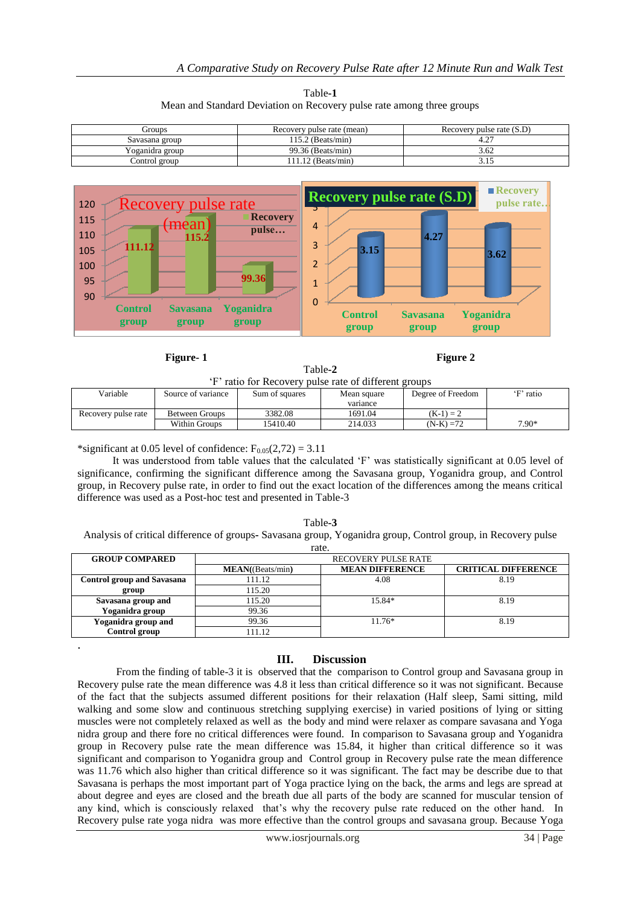| Table-1                                                               |  |
|-----------------------------------------------------------------------|--|
| Mean and Standard Deviation on Recovery pulse rate among three groups |  |

| Groups          | Recovery pulse rate (mean) | Recovery pulse rate (S.D) |
|-----------------|----------------------------|---------------------------|
| Savasana group  | 115.2 (Beats/min)          | 4.27                      |
| Yoganidra group | 99.36 (Beats/min)          | 3.62                      |
| Control group   | 11.12 (Beats/min)          |                           |



**Figure-1 Figure 2** 

| Table-2                                               |
|-------------------------------------------------------|
| 'F' ratio for Recovery pulse rate of different groups |
|                                                       |

| Variable            | Source of variance | Sum of squares | Mean square | Degree of Freedom | 'F' ratio |
|---------------------|--------------------|----------------|-------------|-------------------|-----------|
|                     |                    |                | variance    |                   |           |
| Recovery pulse rate | Between Groups     | 3382.08        | 1691.04     | $(K-1) = 2$       |           |
|                     | Within Groups      | 15410.40       | 214.033     | $(N-K) = 72$      | $7.90*$   |

\*significant at 0.05 level of confidence:  $F_{0.05}(2,72) = 3.11$ 

.

 It was understood from table values that the calculated "F" was statistically significant at 0.05 level of significance, confirming the significant difference among the Savasana group, Yoganidra group, and Control group, in Recovery pulse rate, in order to find out the exact location of the differences among the means critical difference was used as a Post-hoc test and presented in Table-3

| Table-3                                                                                                      |
|--------------------------------------------------------------------------------------------------------------|
| Analysis of critical difference of groups- Savasana group, Yoganidra group, Control group, in Recovery pulse |
| rato                                                                                                         |

| raiv.                             |                            |                        |                            |  |
|-----------------------------------|----------------------------|------------------------|----------------------------|--|
| <b>GROUP COMPARED</b>             | <b>RECOVERY PULSE RATE</b> |                        |                            |  |
|                                   | MEAN((Beats/min))          | <b>MEAN DIFFERENCE</b> | <b>CRITICAL DIFFERENCE</b> |  |
| <b>Control group and Savasana</b> | 111.12                     | 4.08                   | 8.19                       |  |
| group                             | 115.20                     |                        |                            |  |
| Savasana group and                | 115.20                     | 15.84*                 | 8.19                       |  |
| Yoganidra group                   | 99.36                      |                        |                            |  |
| Yoganidra group and               | 99.36                      | $11.76*$               | 8.19                       |  |
| Control group                     | 111.12                     |                        |                            |  |

#### **III. Discussion**

From the finding of table-3 it is observed that the comparison to Control group and Savasana group in Recovery pulse rate the mean difference was 4.8 it less than critical difference so it was not significant. Because of the fact that the subjects assumed different positions for their relaxation (Half sleep, Sami sitting, mild walking and some slow and continuous stretching supplying exercise) in varied positions of lying or sitting muscles were not completely relaxed as well as the body and mind were relaxer as compare savasana and Yoga nidra group and there fore no critical differences were found. In comparison to Savasana group and Yoganidra group in Recovery pulse rate the mean difference was 15.84, it higher than critical difference so it was significant and comparison to Yoganidra group and Control group in Recovery pulse rate the mean difference was 11.76 which also higher than critical difference so it was significant. The fact may be describe due to that Savasana is perhaps the most important part of Yoga practice lying on the back, the arms and legs are spread at about degree and eyes are closed and the breath due all parts of the body are scanned for muscular tension of any kind, which is consciously relaxed that's why the recovery pulse rate reduced on the other hand. In Recovery pulse rate yoga nidra was more effective than the control groups and savasana group. Because Yoga